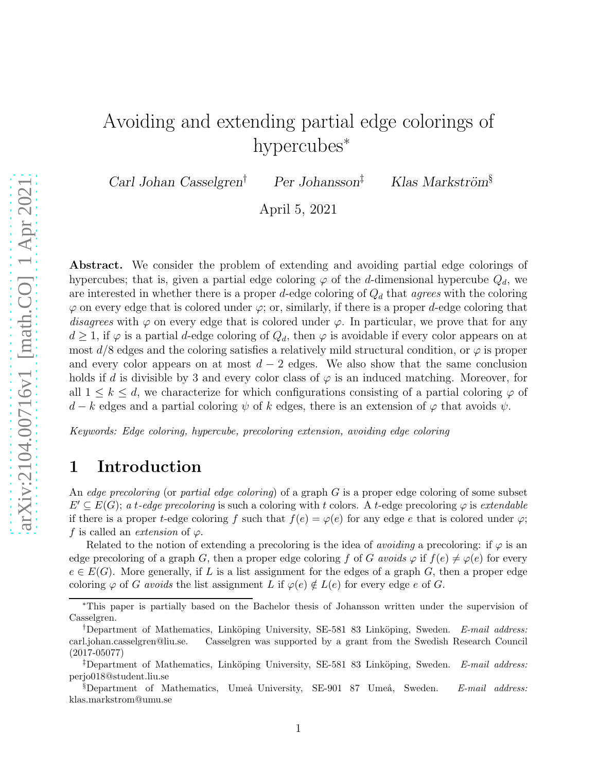# Avoiding and extending partial edge colorings of hypercubes<sup>\*</sup>

Carl Johan Casselgren<sup>†</sup> Per Johansson<sup>‡</sup> Klas Markström<sup>§</sup>

April 5, 2021

Abstract. We consider the problem of extending and avoiding partial edge colorings of hypercubes; that is, given a partial edge coloring  $\varphi$  of the d-dimensional hypercube  $Q_d$ , we are interested in whether there is a proper d-edge coloring of  $Q_d$  that agrees with the coloring  $\varphi$  on every edge that is colored under  $\varphi$ ; or, similarly, if there is a proper d-edge coloring that disagrees with  $\varphi$  on every edge that is colored under  $\varphi$ . In particular, we prove that for any  $d \geq 1$ , if  $\varphi$  is a partial d-edge coloring of  $Q_d$ , then  $\varphi$  is avoidable if every color appears on at most  $d/8$  edges and the coloring satisfies a relatively mild structural condition, or  $\varphi$  is proper and every color appears on at most  $d-2$  edges. We also show that the same conclusion holds if d is divisible by 3 and every color class of  $\varphi$  is an induced matching. Moreover, for all  $1 \leq k \leq d$ , we characterize for which configurations consisting of a partial coloring  $\varphi$  of  $d - k$  edges and a partial coloring  $\psi$  of k edges, there is an extension of  $\varphi$  that avoids  $\psi$ .

Keywords: Edge coloring, hypercube, precoloring extension, avoiding edge coloring

## 1 Introduction

An edge precoloring (or partial edge coloring) of a graph  $G$  is a proper edge coloring of some subset  $E' \subseteq E(G)$ ; a t-edge precoloring is such a coloring with t colors. A t-edge precoloring  $\varphi$  is extendable if there is a proper t-edge coloring f such that  $f(e) = \varphi(e)$  for any edge e that is colored under  $\varphi$ ; f is called an *extension* of  $\varphi$ .

Related to the notion of extending a precoloring is the idea of *avoiding* a precoloring: if  $\varphi$  is an edge precoloring of a graph G, then a proper edge coloring f of G avoids  $\varphi$  if  $f(e) \neq \varphi(e)$  for every  $e \in E(G)$ . More generally, if L is a list assignment for the edges of a graph G, then a proper edge coloring  $\varphi$  of G avoids the list assignment L if  $\varphi(e) \notin L(e)$  for every edge e of G.

<sup>∗</sup>This paper is partially based on the Bachelor thesis of Johansson written under the supervision of Casselgren.

<sup>&</sup>lt;sup>†</sup>Department of Mathematics, Linköping University, SE-581 83 Linköping, Sweden. E-mail address: carl.johan.casselgren@liu.se. Casselgren was supported by a grant from the Swedish Research Council (2017-05077)

<sup>&</sup>lt;sup>‡</sup>Department of Mathematics, Linköping University, SE-581 83 Linköping, Sweden. E-mail address: perjo018@student.liu.se

<sup>§</sup>Department of Mathematics, Umeå University, SE-901 87 Umeå, Sweden.  $E$ -mail address: klas.markstrom@umu.se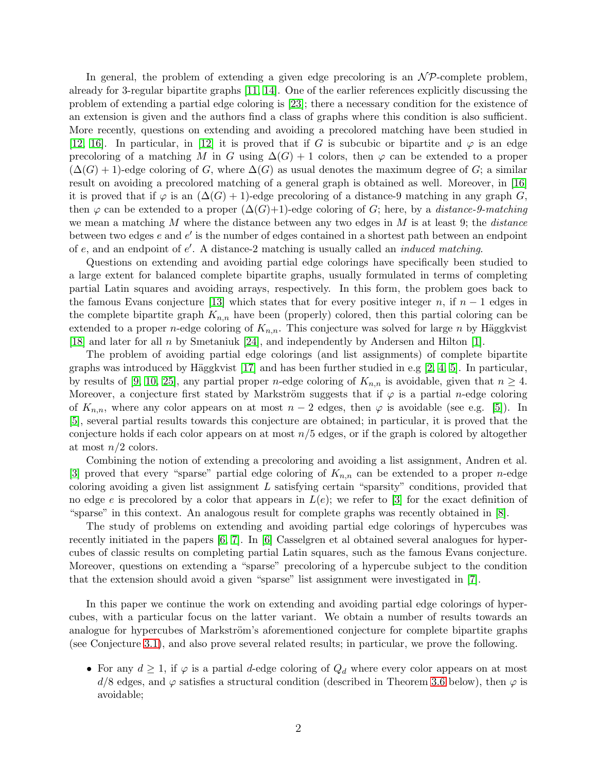In general, the problem of extending a given edge precoloring is an  $N\mathcal{P}$ -complete problem, already for 3-regular bipartite graphs [\[11,](#page-15-0) [14\]](#page-15-1). One of the earlier references explicitly discussing the problem of extending a partial edge coloring is [\[23\]](#page-16-0); there a necessary condition for the existence of an extension is given and the authors find a class of graphs where this condition is also sufficient. More recently, questions on extending and avoiding a precolored matching have been studied in [\[12,](#page-15-2) [16\]](#page-15-3). In particular, in [\[12\]](#page-15-2) it is proved that if G is subcubic or bipartite and  $\varphi$  is an edge precoloring of a matching M in G using  $\Delta(G) + 1$  colors, then  $\varphi$  can be extended to a proper  $(\Delta(G) + 1)$ -edge coloring of G, where  $\Delta(G)$  as usual denotes the maximum degree of G; a similar result on avoiding a precolored matching of a general graph is obtained as well. Moreover, in [\[16\]](#page-15-3) it is proved that if  $\varphi$  is an  $(\Delta(G) + 1)$ -edge precoloring of a distance-9 matching in any graph G, then  $\varphi$  can be extended to a proper  $(\Delta(G)+1)$ -edge coloring of G; here, by a *distance-9-matching* we mean a matching M where the distance between any two edges in  $M$  is at least 9; the *distance* between two edges e and e' is the number of edges contained in a shortest path between an endpoint of e, and an endpoint of e ′ . A distance-2 matching is usually called an induced matching.

Questions on extending and avoiding partial edge colorings have specifically been studied to a large extent for balanced complete bipartite graphs, usually formulated in terms of completing partial Latin squares and avoiding arrays, respectively. In this form, the problem goes back to the famous Evans conjecture [\[13\]](#page-15-4) which states that for every positive integer n, if  $n-1$  edges in the complete bipartite graph  $K_{n,n}$  have been (properly) colored, then this partial coloring can be extended to a proper *n*-edge coloring of  $K_{n,n}$ . This conjecture was solved for large *n* by Häggkvist [\[18\]](#page-15-5) and later for all n by Smetaniuk [\[24\]](#page-16-1), and independently by Andersen and Hilton [\[1\]](#page-14-0).

The problem of avoiding partial edge colorings (and list assignments) of complete bipartite graphs was introduced by Häggkvist [\[17\]](#page-15-6) and has been further studied in e.g [\[2,](#page-14-1) [4,](#page-14-2) [5\]](#page-15-7). In particular, by results of [\[9,](#page-15-8) [10,](#page-15-9) [25\]](#page-16-2), any partial proper *n*-edge coloring of  $K_{n,n}$  is avoidable, given that  $n \geq 4$ . Moreover, a conjecture first stated by Markström suggests that if  $\varphi$  is a partial *n*-edge coloring of  $K_{n,n}$ , where any color appears on at most  $n-2$  edges, then  $\varphi$  is avoidable (see e.g. [\[5\]](#page-15-7)). In [\[5\]](#page-15-7), several partial results towards this conjecture are obtained; in particular, it is proved that the conjecture holds if each color appears on at most  $n/5$  edges, or if the graph is colored by altogether at most  $n/2$  colors.

Combining the notion of extending a precoloring and avoiding a list assignment, Andren et al. [\[3\]](#page-14-3) proved that every "sparse" partial edge coloring of  $K_{n,n}$  can be extended to a proper *n*-edge coloring avoiding a given list assignment  $L$  satisfying certain "sparsity" conditions, provided that no edge e is precolored by a color that appears in  $L(e)$ ; we refer to [\[3\]](#page-14-3) for the exact definition of "sparse" in this context. An analogous result for complete graphs was recently obtained in [\[8\]](#page-15-10).

The study of problems on extending and avoiding partial edge colorings of hypercubes was recently initiated in the papers [\[6,](#page-15-11) [7\]](#page-15-12). In [\[6\]](#page-15-11) Casselgren et al obtained several analogues for hypercubes of classic results on completing partial Latin squares, such as the famous Evans conjecture. Moreover, questions on extending a "sparse" precoloring of a hypercube subject to the condition that the extension should avoid a given "sparse" list assignment were investigated in [\[7\]](#page-15-12).

In this paper we continue the work on extending and avoiding partial edge colorings of hypercubes, with a particular focus on the latter variant. We obtain a number of results towards an analogue for hypercubes of Markström's aforementioned conjecture for complete bipartite graphs (see Conjecture [3.1\)](#page-3-0), and also prove several related results; in particular, we prove the following.

• For any  $d \geq 1$ , if  $\varphi$  is a partial d-edge coloring of  $Q_d$  where every color appears on at most  $d/8$  edges, and  $\varphi$  satisfies a structural condition (described in Theorem [3.6](#page-4-0) below), then  $\varphi$  is avoidable;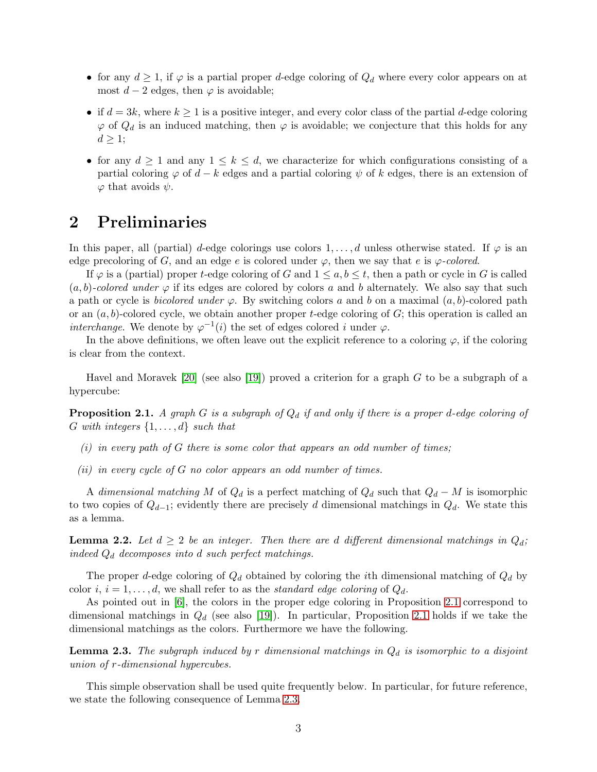- for any  $d \geq 1$ , if  $\varphi$  is a partial proper d-edge coloring of  $Q_d$  where every color appears on at most  $d-2$  edges, then  $\varphi$  is avoidable;
- if  $d = 3k$ , where  $k \geq 1$  is a positive integer, and every color class of the partial d-edge coloring  $\varphi$  of  $Q_d$  is an induced matching, then  $\varphi$  is avoidable; we conjecture that this holds for any  $d \geq 1$ ;
- for any  $d \geq 1$  and any  $1 \leq k \leq d$ , we characterize for which configurations consisting of a partial coloring  $\varphi$  of  $d - k$  edges and a partial coloring  $\psi$  of k edges, there is an extension of  $\varphi$  that avoids  $\psi$ .

## 2 Preliminaries

In this paper, all (partial) d-edge colorings use colors  $1, \ldots, d$  unless otherwise stated. If  $\varphi$  is an edge precoloring of G, and an edge e is colored under  $\varphi$ , then we say that e is  $\varphi$ -colored.

If  $\varphi$  is a (partial) proper t-edge coloring of G and  $1 \leq a, b \leq t$ , then a path or cycle in G is called  $(a, b)$ -colored under  $\varphi$  if its edges are colored by colors a and b alternately. We also say that such a path or cycle is *bicolored under*  $\varphi$ . By switching colors a and b on a maximal  $(a, b)$ -colored path or an  $(a, b)$ -colored cycle, we obtain another proper t-edge coloring of G; this operation is called an interchange. We denote by  $\varphi^{-1}(i)$  the set of edges colored i under  $\varphi$ .

In the above definitions, we often leave out the explicit reference to a coloring  $\varphi$ , if the coloring is clear from the context.

Havel and Moravek [\[20\]](#page-15-13) (see also [\[19\]](#page-15-14)) proved a criterion for a graph  $G$  to be a subgraph of a hypercube:

<span id="page-2-0"></span>**Proposition 2.1.** A graph G is a subgraph of  $Q_d$  if and only if there is a proper d-edge coloring of G with integers  $\{1, \ldots, d\}$  such that

- $(i)$  in every path of G there is some color that appears an odd number of times:
- $(ii)$  in every cycle of G no color appears an odd number of times.

A dimensional matching M of  $Q_d$  is a perfect matching of  $Q_d$  such that  $Q_d - M$  is isomorphic to two copies of  $Q_{d-1}$ ; evidently there are precisely d dimensional matchings in  $Q_d$ . We state this as a lemma.

**Lemma 2.2.** Let  $d \geq 2$  be an integer. Then there are d different dimensional matchings in  $Q_d$ ; indeed  $Q_d$  decomposes into d such perfect matchings.

The proper d-edge coloring of  $Q_d$  obtained by coloring the *i*th dimensional matching of  $Q_d$  by color i,  $i = 1, \ldots, d$ , we shall refer to as the *standard edge coloring* of  $Q_d$ .

As pointed out in [\[6\]](#page-15-11), the colors in the proper edge coloring in Proposition [2.1](#page-2-0) correspond to dimensional matchings in  $Q_d$  (see also [\[19\]](#page-15-14)). In particular, Proposition [2.1](#page-2-0) holds if we take the dimensional matchings as the colors. Furthermore we have the following.

<span id="page-2-1"></span>**Lemma 2.3.** The subgraph induced by r dimensional matchings in  $Q_d$  is isomorphic to a disjoint union of r-dimensional hypercubes.

This simple observation shall be used quite frequently below. In particular, for future reference, we state the following consequence of Lemma [2.3.](#page-2-1)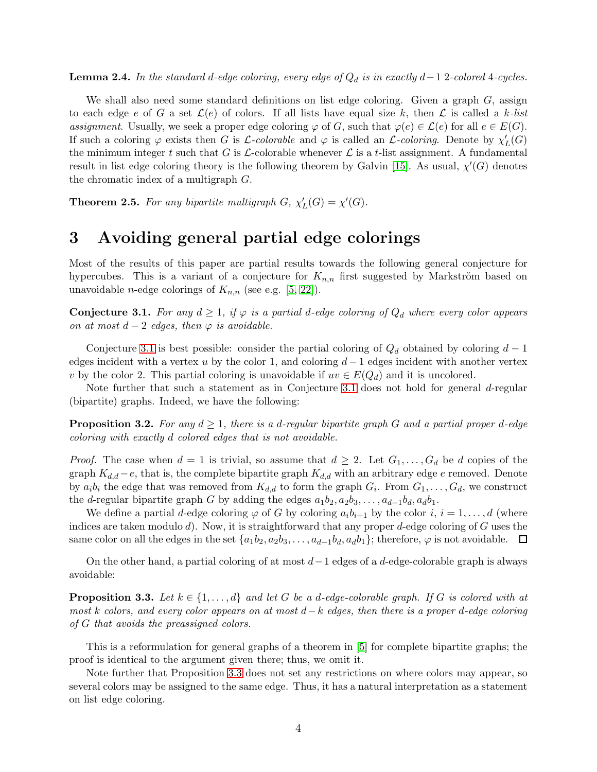<span id="page-3-2"></span>**Lemma 2.4.** In the standard d-edge coloring, every edge of  $Q_d$  is in exactly d-1 2-colored 4-cycles.

We shall also need some standard definitions on list edge coloring. Given a graph  $G$ , assign to each edge e of G a set  $\mathcal{L}(e)$  of colors. If all lists have equal size k, then  $\mathcal{L}$  is called a k-list assignment. Usually, we seek a proper edge coloring  $\varphi$  of G, such that  $\varphi(e) \in \mathcal{L}(e)$  for all  $e \in E(G)$ . If such a coloring  $\varphi$  exists then G is L-colorable and  $\varphi$  is called an L-coloring. Denote by  $\chi'$  $'_{L}(G)$ the minimum integer t such that G is  $\mathcal{L}\text{-colorable whenever } \mathcal{L}$  is a t-list assignment. A fundamental result in list edge coloring theory is the following theorem by Galvin [\[15\]](#page-15-15). As usual,  $\chi'(G)$  denotes the chromatic index of a multigraph G.

<span id="page-3-3"></span>**Theorem 2.5.** For any bipartite multigraph  $G$ ,  $\chi'$  $L'(G) = \chi'(G).$ 

# 3 Avoiding general partial edge colorings

Most of the results of this paper are partial results towards the following general conjecture for hypercubes. This is a variant of a conjecture for  $K_{n,n}$  first suggested by Markström based on unavoidable *n*-edge colorings of  $K_{n,n}$  (see e.g. [\[5,](#page-15-7) [22\]](#page-15-16)).

<span id="page-3-0"></span>**Conjecture 3.1.** For any  $d \geq 1$ , if  $\varphi$  is a partial d-edge coloring of  $Q_d$  where every color appears on at most  $d-2$  edges, then  $\varphi$  is avoidable.

Conjecture [3.1](#page-3-0) is best possible: consider the partial coloring of  $Q_d$  obtained by coloring  $d-1$ edges incident with a vertex u by the color 1, and coloring  $d-1$  edges incident with another vertex v by the color 2. This partial coloring is unavoidable if  $uv \in E(Q_d)$  and it is uncolored.

Note further that such a statement as in Conjecture [3.1](#page-3-0) does not hold for general d-regular (bipartite) graphs. Indeed, we have the following:

**Proposition 3.2.** For any  $d > 1$ , there is a d-regular bipartite graph G and a partial proper d-edge coloring with exactly d colored edges that is not avoidable.

*Proof.* The case when  $d = 1$  is trivial, so assume that  $d \geq 2$ . Let  $G_1, \ldots, G_d$  be d copies of the graph  $K_{d,d} - e$ , that is, the complete bipartite graph  $K_{d,d}$  with an arbitrary edge e removed. Denote by  $a_i b_i$  the edge that was removed from  $K_{d,d}$  to form the graph  $G_i$ . From  $G_1, \ldots, G_d$ , we construct the d-regular bipartite graph G by adding the edges  $a_1b_2, a_2b_3, \ldots, a_{d-1}b_d, a_db_1$ .

We define a partial d-edge coloring  $\varphi$  of G by coloring  $a_ib_{i+1}$  by the color  $i, i = 1, \ldots, d$  (where indices are taken modulo  $d$ ). Now, it is straightforward that any proper  $d$ -edge coloring of  $G$  uses the same color on all the edges in the set  $\{a_1b_2, a_2b_3, \ldots, a_{d-1}b_d, a_d b_1\}$ ; therefore,  $\varphi$  is not avoidable.  $\Box$ 

On the other hand, a partial coloring of at most  $d-1$  edges of a d-edge-colorable graph is always avoidable:

<span id="page-3-1"></span>**Proposition 3.3.** Let  $k \in \{1, \ldots, d\}$  and let G be a d-edge-colorable graph. If G is colored with at most k colors, and every color appears on at most d−k edges, then there is a proper d-edge coloring of G that avoids the preassigned colors.

This is a reformulation for general graphs of a theorem in [\[5\]](#page-15-7) for complete bipartite graphs; the proof is identical to the argument given there; thus, we omit it.

Note further that Proposition [3.3](#page-3-1) does not set any restrictions on where colors may appear, so several colors may be assigned to the same edge. Thus, it has a natural interpretation as a statement on list edge coloring.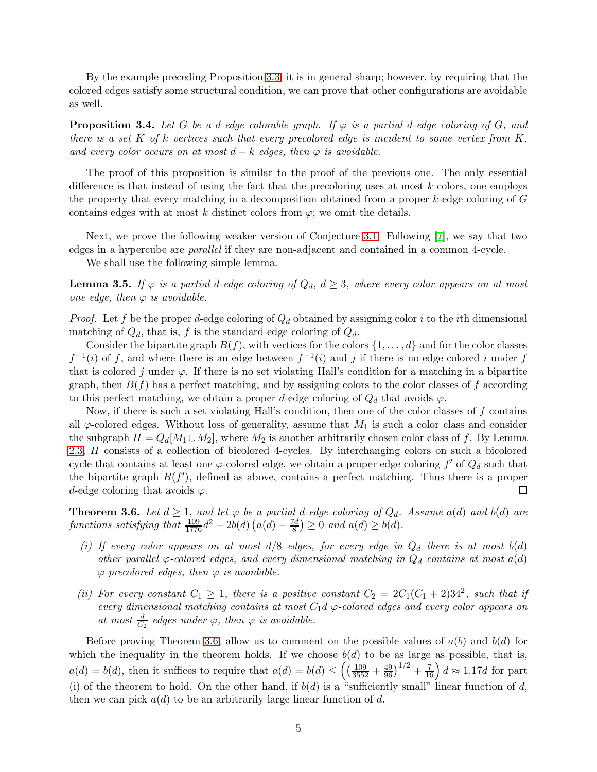By the example preceding Proposition [3.3,](#page-3-1) it is in general sharp; however, by requiring that the colored edges satisfy some structural condition, we can prove that other configurations are avoidable as well.

**Proposition 3.4.** Let G be a d-edge colorable graph. If  $\varphi$  is a partial d-edge coloring of G, and there is a set K of k vertices such that every precolored edge is incident to some vertex from  $K$ , and every color occurs on at most  $d - k$  edges, then  $\varphi$  is avoidable.

The proof of this proposition is similar to the proof of the previous one. The only essential difference is that instead of using the fact that the precoloring uses at most  $k$  colors, one employs the property that every matching in a decomposition obtained from a proper  $k$ -edge coloring of  $G$ contains edges with at most k distinct colors from  $\varphi$ ; we omit the details.

Next, we prove the following weaker version of Conjecture [3.1.](#page-3-0) Following [\[7\]](#page-15-12), we say that two edges in a hypercube are parallel if they are non-adjacent and contained in a common 4-cycle.

We shall use the following simple lemma.

<span id="page-4-1"></span>**Lemma 3.5.** If  $\varphi$  is a partial d-edge coloring of  $Q_d$ ,  $d \geq 3$ , where every color appears on at most one edge, then  $\varphi$  is avoidable.

*Proof.* Let f be the proper d-edge coloring of  $Q_d$  obtained by assigning color i to the ith dimensional matching of  $Q_d$ , that is, f is the standard edge coloring of  $Q_d$ .

Consider the bipartite graph  $B(f)$ , with vertices for the colors  $\{1, \ldots, d\}$  and for the color classes  $f^{-1}(i)$  of f, and where there is an edge between  $f^{-1}(i)$  and j if there is no edge colored i under f that is colored j under  $\varphi$ . If there is no set violating Hall's condition for a matching in a bipartite graph, then  $B(f)$  has a perfect matching, and by assigning colors to the color classes of f according to this perfect matching, we obtain a proper d-edge coloring of  $Q_d$  that avoids  $\varphi$ .

Now, if there is such a set violating Hall's condition, then one of the color classes of  $f$  contains all  $\varphi$ -colored edges. Without loss of generality, assume that  $M_1$  is such a color class and consider the subgraph  $H = Q_d[M_1 \cup M_2]$ , where  $M_2$  is another arbitrarily chosen color class of f. By Lemma [2.3,](#page-2-1) H consists of a collection of bicolored 4-cycles. By interchanging colors on such a bicolored cycle that contains at least one  $\varphi$ -colored edge, we obtain a proper edge coloring f' of  $Q_d$  such that the bipartite graph  $B(f')$ , defined as above, contains a perfect matching. Thus there is a proper d-edge coloring that avoids  $\varphi$ . □

<span id="page-4-0"></span>**Theorem 3.6.** Let  $d \geq 1$ , and let  $\varphi$  be a partial d-edge coloring of  $Q_d$ . Assume a(d) and b(d) are functions satisfying that  $\frac{109}{1776}d^2 - 2b(d)\left(a(d) - \frac{7d}{8}\right)$  $\left(\frac{d}{8}\right) \geq 0$  and  $a(d) \geq b(d)$ .

- (i) If every color appears on at most  $d/8$  edges, for every edge in  $Q_d$  there is at most  $b(d)$ other parallel  $\varphi$ -colored edges, and every dimensional matching in  $Q_d$  contains at most  $a(d)$  $\varphi$ -precolored edges, then  $\varphi$  is avoidable.
- (ii) For every constant  $C_1 \geq 1$ , there is a positive constant  $C_2 = 2C_1(C_1 + 2)34^2$ , such that if every dimensional matching contains at most  $C_1d$   $\varphi$ -colored edges and every color appears on at most  $\frac{d}{C_2}$  edges under  $\varphi$ , then  $\varphi$  is avoidable.

Before proving Theorem [3.6,](#page-4-0) allow us to comment on the possible values of  $a(b)$  and  $b(d)$  for which the inequality in the theorem holds. If we choose  $b(d)$  to be as large as possible, that is,  $a(d) = b(d)$ , then it suffices to require that  $a(d) = b(d) \leq \left( \left( \frac{109}{3552} + \frac{49}{96} \right)^{1/2} + \frac{7}{16} \right) d \approx 1.17d$  for part (i) of the theorem to hold. On the other hand, if  $b(d)$  is a "sufficiently small" linear function of d, then we can pick  $a(d)$  to be an arbitrarily large linear function of d.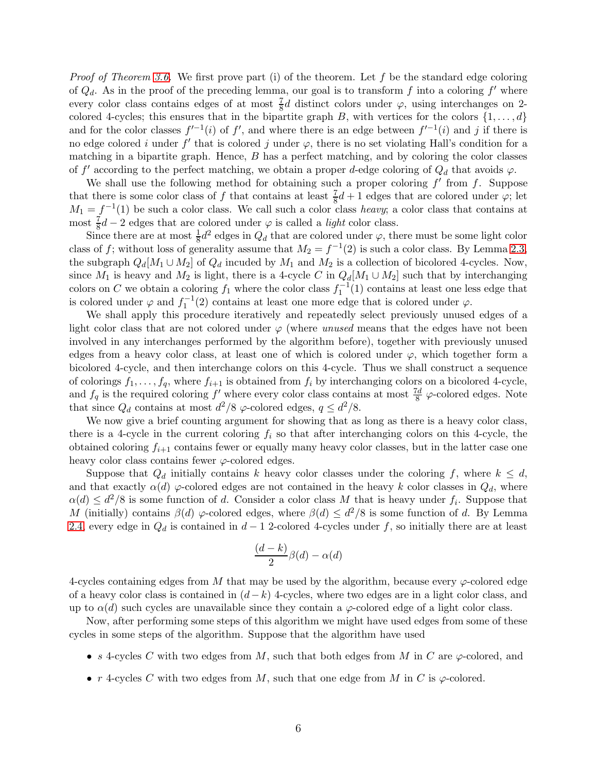*Proof of Theorem [3.6.](#page-4-0)* We first prove part (i) of the theorem. Let f be the standard edge coloring of  $Q_d$ . As in the proof of the preceding lemma, our goal is to transform f into a coloring f' where every color class contains edges of at most  $\frac{7}{8}d$  distinct colors under  $\varphi$ , using interchanges on 2colored 4-cycles; this ensures that in the bipartite graph B, with vertices for the colors  $\{1, \ldots, d\}$ and for the color classes  $f'^{-1}(i)$  of f', and where there is an edge between  $f'^{-1}(i)$  and j if there is no edge colored i under f' that is colored j under  $\varphi$ , there is no set violating Hall's condition for a matching in a bipartite graph. Hence,  $B$  has a perfect matching, and by coloring the color classes of f' according to the perfect matching, we obtain a proper d-edge coloring of  $Q_d$  that avoids  $\varphi$ .

We shall use the following method for obtaining such a proper coloring  $f'$  from  $f$ . Suppose that there is some color class of f that contains at least  $\frac{7}{8}d+1$  edges that are colored under  $\varphi$ ; let  $M_1 = f^{-1}(1)$  be such a color class. We call such a color class heavy; a color class that contains at most  $\frac{7}{8}d-2$  edges that are colored under  $\varphi$  is called a *light* color class.

Since there are at most  $\frac{1}{8}d^2$  edges in  $Q_d$  that are colored under  $\varphi$ , there must be some light color class of f; without loss of generality assume that  $M_2 = f^{-1}(2)$  is such a color class. By Lemma [2.3,](#page-2-1) the subgraph  $Q_d[M_1 \cup M_2]$  of  $Q_d$  incuded by  $M_1$  and  $M_2$  is a collection of bicolored 4-cycles. Now, since  $M_1$  is heavy and  $M_2$  is light, there is a 4-cycle C in  $Q_d[M_1 \cup M_2]$  such that by interchanging colors on C we obtain a coloring  $f_1$  where the color class  $f_1^{-1}(1)$  contains at least one less edge that is colored under  $\varphi$  and  $f_1^{-1}(2)$  contains at least one more edge that is colored under  $\varphi$ .

We shall apply this procedure iteratively and repeatedly select previously unused edges of a light color class that are not colored under  $\varphi$  (where unused means that the edges have not been involved in any interchanges performed by the algorithm before), together with previously unused edges from a heavy color class, at least one of which is colored under  $\varphi$ , which together form a bicolored 4-cycle, and then interchange colors on this 4-cycle. Thus we shall construct a sequence of colorings  $f_1, \ldots, f_q$ , where  $f_{i+1}$  is obtained from  $f_i$  by interchanging colors on a bicolored 4-cycle, and  $f_q$  is the required coloring f' where every color class contains at most  $\frac{7d}{8}$   $\varphi$ -colored edges. Note that since  $Q_d$  contains at most  $d^2/8$   $\varphi$ -colored edges,  $q \leq d^2/8$ .

We now give a brief counting argument for showing that as long as there is a heavy color class, there is a 4-cycle in the current coloring  $f_i$  so that after interchanging colors on this 4-cycle, the obtained coloring  $f_{i+1}$  contains fewer or equally many heavy color classes, but in the latter case one heavy color class contains fewer  $\varphi$ -colored edges.

Suppose that  $Q_d$  initially contains k heavy color classes under the coloring f, where  $k \leq d$ , and that exactly  $\alpha(d)$   $\varphi$ -colored edges are not contained in the heavy k color classes in  $Q_d$ , where  $\alpha(d) \leq d^2/8$  is some function of d. Consider a color class M that is heavy under  $f_i$ . Suppose that M (initially) contains  $\beta(d)$   $\varphi$ -colored edges, where  $\beta(d) \leq d^2/8$  is some function of d. By Lemma [2.4,](#page-3-2) every edge in  $Q_d$  is contained in  $d-1$  2-colored 4-cycles under f, so initially there are at least

$$
\frac{(d-k)}{2}\beta(d)-\alpha(d)
$$

4-cycles containing edges from M that may be used by the algorithm, because every  $\varphi$ -colored edge of a heavy color class is contained in  $(d-k)$  4-cycles, where two edges are in a light color class, and up to  $\alpha(d)$  such cycles are unavailable since they contain a  $\varphi$ -colored edge of a light color class.

Now, after performing some steps of this algorithm we might have used edges from some of these cycles in some steps of the algorithm. Suppose that the algorithm have used

- s 4-cycles C with two edges from M, such that both edges from M in C are  $\varphi$ -colored, and
- r 4-cycles C with two edges from M, such that one edge from M in C is  $\varphi$ -colored.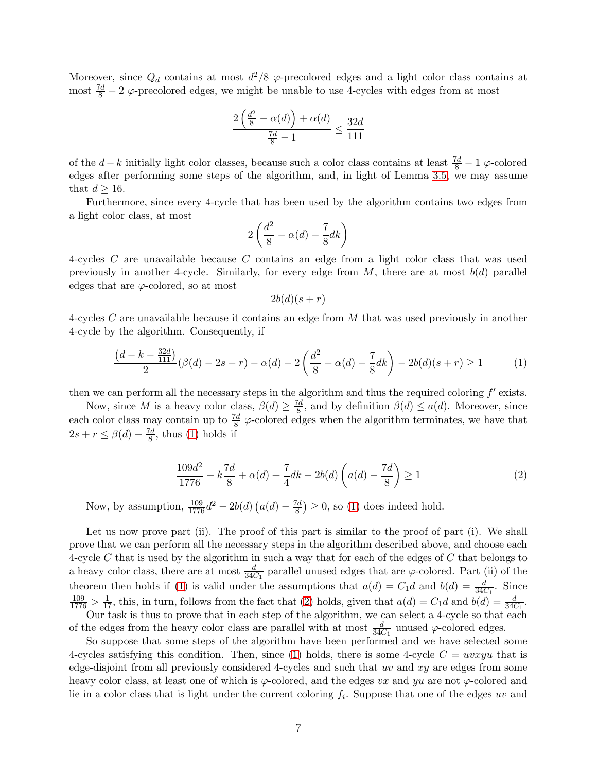Moreover, since  $Q_d$  contains at most  $d^2/8$   $\varphi$ -precolored edges and a light color class contains at most  $\frac{7d}{8} - 2$   $\varphi$ -precolored edges, we might be unable to use 4-cycles with edges from at most

$$
\frac{2\left(\frac{d^2}{8} - \alpha(d)\right) + \alpha(d)}{\frac{7d}{8} - 1} \le \frac{32d}{111}
$$

of the  $d-k$  initially light color classes, because such a color class contains at least  $\frac{7d}{8} - 1$   $\varphi$ -colored edges after performing some steps of the algorithm, and, in light of Lemma [3.5,](#page-4-1) we may assume that  $d \geq 16$ .

Furthermore, since every 4-cycle that has been used by the algorithm contains two edges from a light color class, at most

$$
2\left(\frac{d^2}{8} - \alpha(d) - \frac{7}{8}dk\right)
$$

4-cycles C are unavailable because C contains an edge from a light color class that was used previously in another 4-cycle. Similarly, for every edge from  $M$ , there are at most  $b(d)$  parallel edges that are  $\varphi$ -colored, so at most

<span id="page-6-1"></span><span id="page-6-0"></span>
$$
2b(d)(s+r)
$$

4-cycles C are unavailable because it contains an edge from M that was used previously in another 4-cycle by the algorithm. Consequently, if

$$
\frac{\left(d-k-\frac{32d}{111}\right)}{2}(\beta(d)-2s-r)-\alpha(d)-2\left(\frac{d^2}{8}-\alpha(d)-\frac{7}{8}dk\right)-2b(d)(s+r)\geq 1\tag{1}
$$

then we can perform all the necessary steps in the algorithm and thus the required coloring  $f'$  exists.

Now, since M is a heavy color class,  $\beta(d) \geq \frac{7d}{8}$ , and by definition  $\beta(d) \leq a(d)$ . Moreover, since each color class may contain up to  $\frac{7d}{8} \varphi$ -colored edges when the algorithm terminates, we have that  $2s + r \leq \beta(d) - \frac{7d}{8}$  $\frac{a}{8}$ , thus [\(1\)](#page-6-0) holds if

$$
\frac{109d^2}{1776} - k\frac{7d}{8} + \alpha(d) + \frac{7}{4}dk - 2b(d)\left(a(d) - \frac{7d}{8}\right) \ge 1\tag{2}
$$

Now, by assumption,  $\frac{109}{1776}d^2 - 2b(d)(a(d) - \frac{7d}{8}) \ge 0$ , so [\(1\)](#page-6-0) does indeed hold.

Let us now prove part (ii). The proof of this part is similar to the proof of part (i). We shall prove that we can perform all the necessary steps in the algorithm described above, and choose each 4-cycle C that is used by the algorithm in such a way that for each of the edges of C that belongs to a heavy color class, there are at most  $\frac{d}{34C_1}$  parallel unused edges that are  $\varphi$ -colored. Part (ii) of the theorem then holds if [\(1\)](#page-6-0) is valid under the assumptions that  $a(d) = C_1 d$  and  $b(d) = \frac{d}{34C_1}$ . Since  $\frac{109}{1776} > \frac{1}{17}$ , this, in turn, follows from the fact that [\(2\)](#page-6-1) holds, given that  $a(d) = C_1 d$  and  $b(d) = \frac{d}{34C_1}$ . Our task is thus to prove that in each step of the algorithm, we can select a 4-cycle so that each

of the edges from the heavy color class are parallel with at most  $\frac{d}{34C_1}$  unused  $\varphi$ -colored edges.

So suppose that some steps of the algorithm have been performed and we have selected some 4-cycles satisfying this condition. Then, since [\(1\)](#page-6-0) holds, there is some 4-cycle  $C = uvxyu$  that is edge-disjoint from all previously considered 4-cycles and such that  $uv$  and  $xy$  are edges from some heavy color class, at least one of which is  $\varphi$ -colored, and the edges vx and yu are not  $\varphi$ -colored and lie in a color class that is light under the current coloring  $f_i$ . Suppose that one of the edges uv and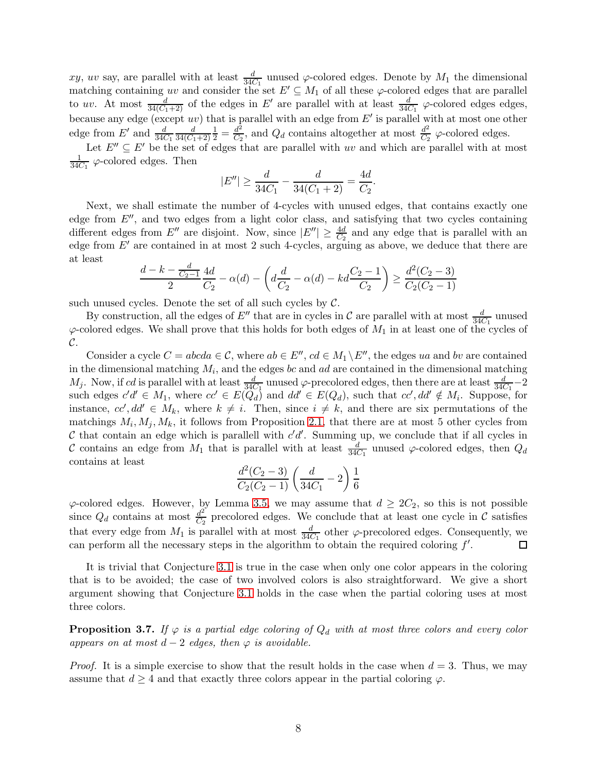xy, uv say, are parallel with at least  $\frac{d}{34C_1}$  unused  $\varphi$ -colored edges. Denote by  $M_1$  the dimensional matching containing uv and consider the set  $E' \subseteq M_1$  of all these  $\varphi$ -colored edges that are parallel to uv. At most  $\frac{d}{34(C_1+2)}$  of the edges in E' are parallel with at least  $\frac{d}{34C_1}$   $\varphi$ -colored edges edges, because any edge (except uv) that is parallel with an edge from E' is parallel with at most one other edge from  $E'$  and  $\frac{d}{34C_1}$ d  $34(C_1+2)$  $\frac{1}{2}=\frac{d^2}{C_2}$  $\frac{d^2}{C_2}$ , and  $Q_d$  contains altogether at most  $\frac{d^2}{C_2}$  $rac{d^2}{C_2}$   $\varphi$ -colored edges.

Let  $E'' \subseteq E'$  be the set of edges that are parallel with uv and which are parallel with at most 1  $\frac{1}{34C_1}$   $\varphi$ -colored edges. Then

$$
|E''| \ge \frac{d}{34C_1} - \frac{d}{34(C_1 + 2)} = \frac{4d}{C_2}.
$$

Next, we shall estimate the number of 4-cycles with unused edges, that contains exactly one edge from  $E''$ , and two edges from a light color class, and satisfying that two cycles containing different edges from E'' are disjoint. Now, since  $|E''| \geq \frac{4d}{C_2}$  and any edge that is parallel with an edge from  $E'$  are contained in at most 2 such 4-cycles, arguing as above, we deduce that there are at least

$$
\frac{d-k-\frac{d}{C_2-1}}{2}\frac{4d}{C_2}-\alpha(d)-\left(d\frac{d}{C_2}-\alpha(d)-kd\frac{C_2-1}{C_2}\right)\geq \frac{d^2(C_2-3)}{C_2(C_2-1)}
$$

such unused cycles. Denote the set of all such cycles by  $C$ .

By construction, all the edges of E'' that are in cycles in C are parallel with at most  $\frac{d}{34C_1}$  unused  $\varphi$ -colored edges. We shall prove that this holds for both edges of  $M_1$  in at least one of the cycles of  $\mathcal{C}.$ 

Consider a cycle  $C = abcda \in \mathcal{C}$ , where  $ab \in E''$ ,  $cd \in M_1 \backslash E''$ , the edges ua and by are contained in the dimensional matching  $M_i$ , and the edges bc and ad are contained in the dimensional matching  $M_j$ . Now, if cd is parallel with at least  $\frac{d}{34C_1}$  unused  $\varphi$ -precolored edges, then there are at least  $\frac{d}{34C_1}-2$ such edges  $c'd' \in M_1$ , where  $cc' \in E(Q_d)$  and  $dd' \in E(Q_d)$ , such that  $cc', dd' \notin M_i$ . Suppose, for instance,  $cc'$ ,  $dd' \in M_k$ , where  $k \neq i$ . Then, since  $i \neq k$ , and there are six permutations of the matchings  $M_i, M_j, M_k$ , it follows from Proposition [2.1,](#page-2-0) that there are at most 5 other cycles from  $\mathcal C$  that contain an edge which is parallell with  $c'd'$ . Summing up, we conclude that if all cycles in C contains an edge from  $M_1$  that is parallel with at least  $\frac{d}{34C_1}$  unused  $\varphi$ -colored edges, then  $Q_d$ contains at least

$$
\frac{d^2(C_2-3)}{C_2(C_2-1)} \left( \frac{d}{34C_1} - 2 \right) \frac{1}{6}
$$

 $\varphi$ -colored edges. However, by Lemma [3.5,](#page-4-1) we may assume that  $d \geq 2C_2$ , so this is not possible since  $Q_d$  contains at most  $\frac{d^2}{C_2}$  $\frac{d^2}{C_2}$  precolored edges. We conclude that at least one cycle in C satisfies that every edge from  $M_1$  is parallel with at most  $\frac{d}{34C_1}$  other  $\varphi$ -precolored edges. Consequently, we can perform all the necessary steps in the algorithm to obtain the required coloring  $f'$ .  $\Box$ 

It is trivial that Conjecture [3.1](#page-3-0) is true in the case when only one color appears in the coloring that is to be avoided; the case of two involved colors is also straightforward. We give a short argument showing that Conjecture [3.1](#page-3-0) holds in the case when the partial coloring uses at most three colors.

**Proposition 3.7.** If  $\varphi$  is a partial edge coloring of  $Q_d$  with at most three colors and every color appears on at most  $d-2$  edges, then  $\varphi$  is avoidable.

*Proof.* It is a simple exercise to show that the result holds in the case when  $d = 3$ . Thus, we may assume that  $d \geq 4$  and that exactly three colors appear in the partial coloring  $\varphi$ .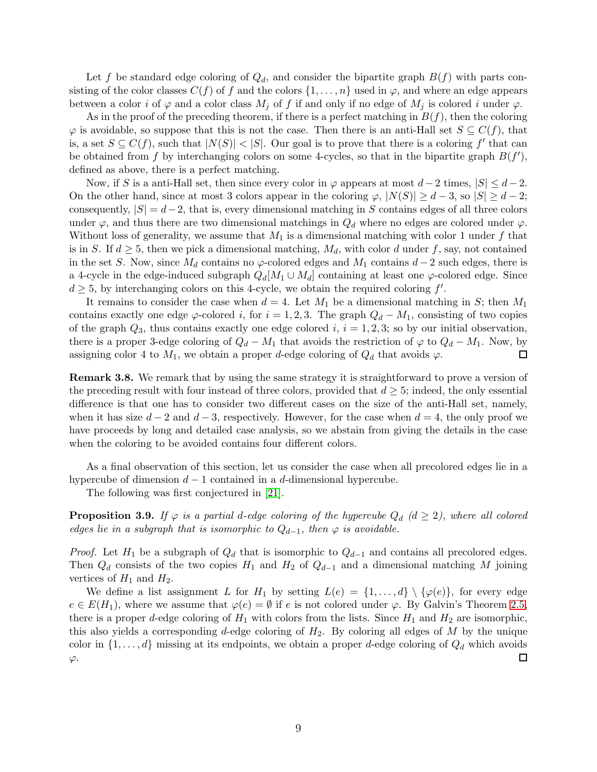Let f be standard edge coloring of  $Q_d$ , and consider the bipartite graph  $B(f)$  with parts consisting of the color classes  $C(f)$  of f and the colors  $\{1,\ldots,n\}$  used in  $\varphi$ , and where an edge appears between a color i of  $\varphi$  and a color class  $M_j$  of f if and only if no edge of  $M_j$  is colored i under  $\varphi$ .

As in the proof of the preceding theorem, if there is a perfect matching in  $B(f)$ , then the coloring  $\varphi$  is avoidable, so suppose that this is not the case. Then there is an anti-Hall set  $S \subseteq C(f)$ , that is, a set  $S \subseteq C(f)$ , such that  $|N(S)| < |S|$ . Our goal is to prove that there is a coloring f' that can be obtained from f by interchanging colors on some 4-cycles, so that in the bipartite graph  $B(f')$ , defined as above, there is a perfect matching.

Now, if S is a anti-Hall set, then since every color in  $\varphi$  appears at most  $d-2$  times,  $|S| \leq d-2$ . On the other hand, since at most 3 colors appear in the coloring  $\varphi$ ,  $|N(S)| \geq d-3$ , so  $|S| \geq d-2$ ; consequently,  $|S| = d-2$ , that is, every dimensional matching in S contains edges of all three colors under  $\varphi$ , and thus there are two dimensional matchings in  $Q_d$  where no edges are colored under  $\varphi$ . Without loss of generality, we assume that  $M_1$  is a dimensional matching with color 1 under f that is in S. If  $d \geq 5$ , then we pick a dimensional matching,  $M_d$ , with color d under f, say, not contained in the set S. Now, since  $M_d$  contains no  $\varphi$ -colored edges and  $M_1$  contains  $d-2$  such edges, there is a 4-cycle in the edge-induced subgraph  $Q_d[M_1 \cup M_d]$  containing at least one  $\varphi$ -colored edge. Since  $d \geq 5$ , by interchanging colors on this 4-cycle, we obtain the required coloring f'.

It remains to consider the case when  $d = 4$ . Let  $M_1$  be a dimensional matching in S; then  $M_1$ contains exactly one edge  $\varphi$ -colored *i*, for  $i = 1, 2, 3$ . The graph  $Q_d - M_1$ , consisting of two copies of the graph  $Q_3$ , thus contains exactly one edge colored i,  $i = 1, 2, 3$ ; so by our initial observation, there is a proper 3-edge coloring of  $Q_d - M_1$  that avoids the restriction of  $\varphi$  to  $Q_d - M_1$ . Now, by assigning color 4 to  $M_1$ , we obtain a proper d-edge coloring of  $Q_d$  that avoids  $\varphi$ .  $\Box$ 

Remark 3.8. We remark that by using the same strategy it is straightforward to prove a version of the preceding result with four instead of three colors, provided that  $d \geq 5$ ; indeed, the only essential difference is that one has to consider two different cases on the size of the anti-Hall set, namely, when it has size  $d-2$  and  $d-3$ , respectively. However, for the case when  $d=4$ , the only proof we have proceeds by long and detailed case analysis, so we abstain from giving the details in the case when the coloring to be avoided contains four different colors.

As a final observation of this section, let us consider the case when all precolored edges lie in a hypercube of dimension  $d-1$  contained in a d-dimensional hypercube.

The following was first conjectured in [\[21\]](#page-15-17).

**Proposition 3.9.** If  $\varphi$  is a partial d-edge coloring of the hypercube  $Q_d$  ( $d \geq 2$ ), where all colored edges lie in a subgraph that is isomorphic to  $Q_{d-1}$ , then  $\varphi$  is avoidable.

*Proof.* Let  $H_1$  be a subgraph of  $Q_d$  that is isomorphic to  $Q_{d-1}$  and contains all precolored edges. Then  $Q_d$  consists of the two copies  $H_1$  and  $H_2$  of  $Q_{d-1}$  and a dimensional matching M joining vertices of  $H_1$  and  $H_2$ .

We define a list assignment L for  $H_1$  by setting  $L(e) = \{1, \ldots, d\} \setminus \{\varphi(e)\}\text{, for every edge }$  $e \in E(H_1)$ , where we assume that  $\varphi(e) = \emptyset$  if e is not colored under  $\varphi$ . By Galvin's Theorem [2.5,](#page-3-3) there is a proper d-edge coloring of  $H_1$  with colors from the lists. Since  $H_1$  and  $H_2$  are isomorphic, this also yields a corresponding d-edge coloring of  $H_2$ . By coloring all edges of M by the unique color in  $\{1, \ldots, d\}$  missing at its endpoints, we obtain a proper d-edge coloring of  $Q_d$  which avoids □  $\varphi$ .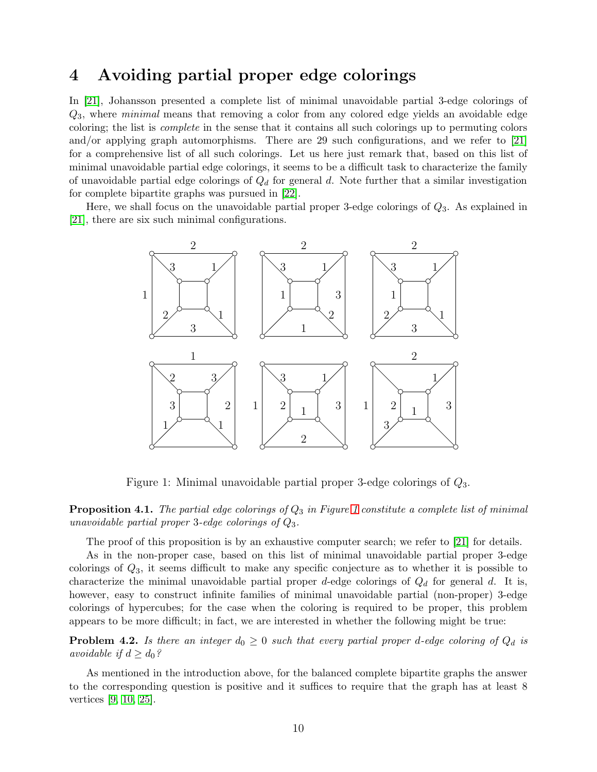#### 4 Avoiding partial proper edge colorings

In [\[21\]](#page-15-17), Johansson presented a complete list of minimal unavoidable partial 3-edge colorings of  $Q_3$ , where minimal means that removing a color from any colored edge yields an avoidable edge coloring; the list is complete in the sense that it contains all such colorings up to permuting colors and/or applying graph automorphisms. There are 29 such configurations, and we refer to  $[21]$ for a comprehensive list of all such colorings. Let us here just remark that, based on this list of minimal unavoidable partial edge colorings, it seems to be a difficult task to characterize the family of unavoidable partial edge colorings of  $Q_d$  for general d. Note further that a similar investigation for complete bipartite graphs was pursued in [\[22\]](#page-15-16).

Here, we shall focus on the unavoidable partial proper 3-edge colorings of  $Q_3$ . As explained in [\[21\]](#page-15-17), there are six such minimal configurations.



<span id="page-9-0"></span>Figure 1: Minimal unavoidable partial proper 3-edge colorings of Q3.

<span id="page-9-1"></span>**Proposition 4.1.** The partial edge colorings of  $Q_3$  in Figure [1](#page-9-0) constitute a complete list of minimal unavoidable partial proper 3-edge colorings of  $Q_3$ .

The proof of this proposition is by an exhaustive computer search; we refer to [\[21\]](#page-15-17) for details.

As in the non-proper case, based on this list of minimal unavoidable partial proper 3-edge colorings of  $Q_3$ , it seems difficult to make any specific conjecture as to whether it is possible to characterize the minimal unavoidable partial proper d-edge colorings of  $Q_d$  for general d. It is, however, easy to construct infinite families of minimal unavoidable partial (non-proper) 3-edge colorings of hypercubes; for the case when the coloring is required to be proper, this problem appears to be more difficult; in fact, we are interested in whether the following might be true:

<span id="page-9-2"></span>**Problem 4.2.** Is there an integer  $d_0 \geq 0$  such that every partial proper d-edge coloring of  $Q_d$  is avoidable if  $d \geq d_0$ ?

As mentioned in the introduction above, for the balanced complete bipartite graphs the answer to the corresponding question is positive and it suffices to require that the graph has at least 8 vertices [\[9,](#page-15-8) [10,](#page-15-9) [25\]](#page-16-2).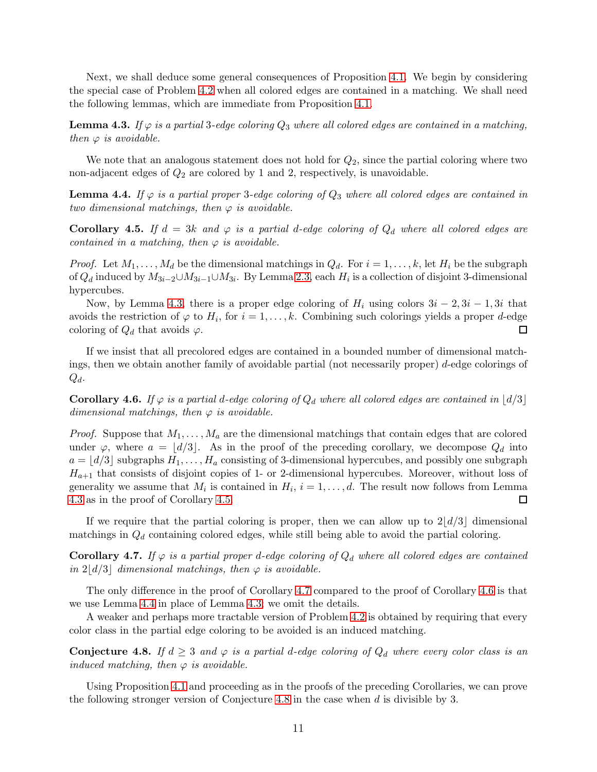Next, we shall deduce some general consequences of Proposition [4.1.](#page-9-1) We begin by considering the special case of Problem [4.2](#page-9-2) when all colored edges are contained in a matching. We shall need the following lemmas, which are immediate from Proposition [4.1.](#page-9-1)

<span id="page-10-0"></span>**Lemma 4.3.** If  $\varphi$  is a partial 3-edge coloring  $Q_3$  where all colored edges are contained in a matching, then  $\varphi$  is avoidable.

We note that an analogous statement does not hold for  $Q_2$ , since the partial coloring where two non-adjacent edges of  $Q_2$  are colored by 1 and 2, respectively, is unavoidable.

<span id="page-10-4"></span>**Lemma 4.4.** If  $\varphi$  is a partial proper 3-edge coloring of  $Q_3$  where all colored edges are contained in two dimensional matchings, then  $\varphi$  is avoidable.

<span id="page-10-1"></span>**Corollary 4.5.** If  $d = 3k$  and  $\varphi$  is a partial d-edge coloring of  $Q_d$  where all colored edges are contained in a matching, then  $\varphi$  is avoidable.

*Proof.* Let  $M_1, \ldots, M_d$  be the dimensional matchings in  $Q_d$ . For  $i = 1, \ldots, k$ , let  $H_i$  be the subgraph of  $Q_d$  induced by  $M_{3i-2}\cup M_{3i-1}\cup M_{3i}$ . By Lemma [2.3,](#page-2-1) each  $H_i$  is a collection of disjoint 3-dimensional hypercubes.

Now, by Lemma [4.3,](#page-10-0) there is a proper edge coloring of  $H_i$  using colors  $3i - 2$ ,  $3i - 1$ ,  $3i$  that avoids the restriction of  $\varphi$  to  $H_i$ , for  $i = 1, \ldots, k$ . Combining such colorings yields a proper *d*-edge П coloring of  $Q_d$  that avoids  $\varphi$ .

If we insist that all precolored edges are contained in a bounded number of dimensional matchings, then we obtain another family of avoidable partial (not necessarily proper) d-edge colorings of  $Q_d$ .

<span id="page-10-3"></span>**Corollary 4.6.** If  $\varphi$  is a partial d-edge coloring of  $Q_d$  where all colored edges are contained in  $\lfloor d/3 \rfloor$ dimensional matchings, then  $\varphi$  is avoidable.

*Proof.* Suppose that  $M_1, \ldots, M_a$  are the dimensional matchings that contain edges that are colored under  $\varphi$ , where  $a = \lfloor d/3 \rfloor$ . As in the proof of the preceding corollary, we decompose  $Q_d$  into  $a = |d/3|$  subgraphs  $H_1, \ldots, H_a$  consisting of 3-dimensional hypercubes, and possibly one subgraph  $H_{a+1}$  that consists of disjoint copies of 1- or 2-dimensional hypercubes. Moreover, without loss of generality we assume that  $M_i$  is contained in  $H_i$ ,  $i = 1, \ldots, d$ . The result now follows from Lemma [4.3](#page-10-0) as in the proof of Corollary [4.5.](#page-10-1)  $\Box$ 

If we require that the partial coloring is proper, then we can allow up to  $2\lfloor d/3 \rfloor$  dimensional matchings in  $Q_d$  containing colored edges, while still being able to avoid the partial coloring.

<span id="page-10-2"></span>**Corollary 4.7.** If  $\varphi$  is a partial proper d-edge coloring of  $Q_d$  where all colored edges are contained in  $2\vert d/3 \vert$  dimensional matchings, then  $\varphi$  is avoidable.

The only difference in the proof of Corollary [4.7](#page-10-2) compared to the proof of Corollary [4.6](#page-10-3) is that we use Lemma [4.4](#page-10-4) in place of Lemma [4.3;](#page-10-0) we omit the details.

A weaker and perhaps more tractable version of Problem [4.2](#page-9-2) is obtained by requiring that every color class in the partial edge coloring to be avoided is an induced matching.

<span id="page-10-5"></span>**Conjecture 4.8.** If  $d \geq 3$  and  $\varphi$  is a partial d-edge coloring of  $Q_d$  where every color class is an induced matching, then  $\varphi$  is avoidable.

Using Proposition [4.1](#page-9-1) and proceeding as in the proofs of the preceding Corollaries, we can prove the following stronger version of Conjecture [4.8](#page-10-5) in the case when  $d$  is divisible by 3.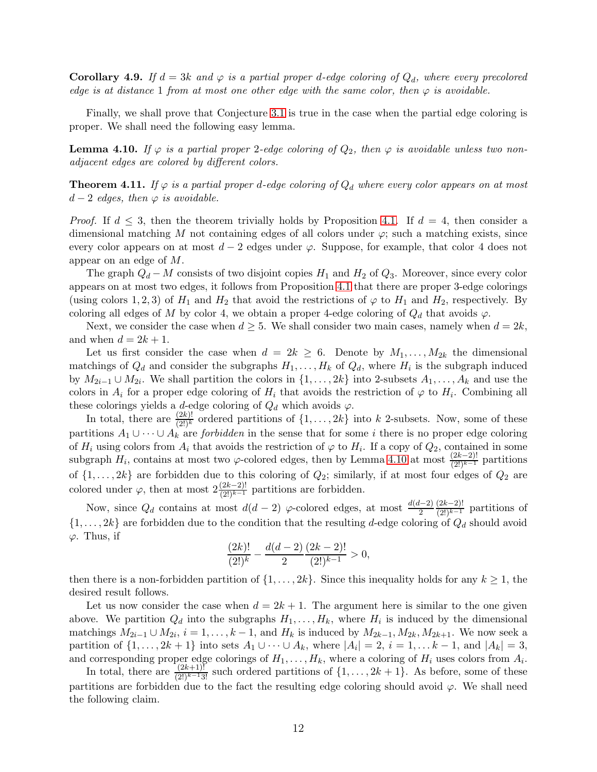**Corollary 4.9.** If  $d = 3k$  and  $\varphi$  is a partial proper d-edge coloring of  $Q_d$ , where every precolored edge is at distance 1 from at most one other edge with the same color, then  $\varphi$  is avoidable.

Finally, we shall prove that Conjecture [3.1](#page-3-0) is true in the case when the partial edge coloring is proper. We shall need the following easy lemma.

<span id="page-11-0"></span>**Lemma 4.10.** If  $\varphi$  is a partial proper 2-edge coloring of  $Q_2$ , then  $\varphi$  is avoidable unless two nonadjacent edges are colored by different colors.

**Theorem 4.11.** If  $\varphi$  is a partial proper d-edge coloring of  $Q_d$  where every color appears on at most  $d-2$  edges, then  $\varphi$  is avoidable.

*Proof.* If  $d \leq 3$ , then the theorem trivially holds by Proposition [4.1.](#page-9-1) If  $d = 4$ , then consider a dimensional matching M not containing edges of all colors under  $\varphi$ ; such a matching exists, since every color appears on at most  $d-2$  edges under  $\varphi$ . Suppose, for example, that color 4 does not appear on an edge of M.

The graph  $Q_d - M$  consists of two disjoint copies  $H_1$  and  $H_2$  of  $Q_3$ . Moreover, since every color appears on at most two edges, it follows from Proposition [4.1](#page-9-1) that there are proper 3-edge colorings (using colors 1, 2, 3) of  $H_1$  and  $H_2$  that avoid the restrictions of  $\varphi$  to  $H_1$  and  $H_2$ , respectively. By coloring all edges of M by color 4, we obtain a proper 4-edge coloring of  $Q_d$  that avoids  $\varphi$ .

Next, we consider the case when  $d \geq 5$ . We shall consider two main cases, namely when  $d = 2k$ , and when  $d = 2k + 1$ .

Let us first consider the case when  $d = 2k \geq 6$ . Denote by  $M_1, \ldots, M_{2k}$  the dimensional matchings of  $Q_d$  and consider the subgraphs  $H_1, \ldots, H_k$  of  $Q_d$ , where  $H_i$  is the subgraph induced by  $M_{2i-1} \cup M_{2i}$ . We shall partition the colors in  $\{1, \ldots, 2k\}$  into 2-subsets  $A_1, \ldots, A_k$  and use the colors in  $A_i$  for a proper edge coloring of  $H_i$  that avoids the restriction of  $\varphi$  to  $H_i$ . Combining all these colorings yields a d-edge coloring of  $Q_d$  which avoids  $\varphi$ .

In total, there are  $\frac{(2k)!}{(2!)^k}$  ordered partitions of  $\{1,\ldots,2k\}$  into k 2-subsets. Now, some of these partitions  $A_1 \cup \cdots \cup A_k$  are *forbidden* in the sense that for some *i* there is no proper edge coloring of  $H_i$  using colors from  $A_i$  that avoids the restriction of  $\varphi$  to  $H_i$ . If a copy of  $Q_2$ , contained in some subgraph  $H_i$ , contains at most two  $\varphi$ -colored edges, then by Lemma [4.10](#page-11-0) at most  $\frac{(2k-2)!}{(2!)^{k-1}}$  partitions of  $\{1, \ldots, 2k\}$  are forbidden due to this coloring of  $Q_2$ ; similarly, if at most four edges of  $Q_2$  are colored under  $\varphi$ , then at most  $2\frac{(2k-2)!}{(2!)^{k-1}}$  partitions are forbidden.

Now, since  $Q_d$  contains at most  $d(d-2)$   $\varphi$ -colored edges, at most  $\frac{d(d-2)}{2}$  $\frac{(2k-2)!}{(2!)^{k-1}}$  partitions of  $\{1, \ldots, 2k\}$  are forbidden due to the condition that the resulting d-edge coloring of  $Q_d$  should avoid  $\varphi$ . Thus, if

$$
\frac{(2k)!}{(2!)^k} - \frac{d(d-2)}{2} \frac{(2k-2)!}{(2!)^{k-1}} > 0,
$$

then there is a non-forbidden partition of  $\{1, \ldots, 2k\}$ . Since this inequality holds for any  $k \geq 1$ , the desired result follows.

Let us now consider the case when  $d = 2k + 1$ . The argument here is similar to the one given above. We partition  $Q_d$  into the subgraphs  $H_1, \ldots, H_k$ , where  $H_i$  is induced by the dimensional matchings  $M_{2i-1} \cup M_{2i}$ ,  $i = 1, \ldots, k-1$ , and  $H_k$  is induced by  $M_{2k-1}, M_{2k}, M_{2k+1}$ . We now seek a partition of  $\{1, \ldots, 2k+1\}$  into sets  $A_1 \cup \cdots \cup A_k$ , where  $|A_i| = 2$ ,  $i = 1, \ldots k-1$ , and  $|A_k| = 3$ , and corresponding proper edge colorings of  $H_1, \ldots, H_k$ , where a coloring of  $H_i$  uses colors from  $A_i$ .

In total, there are  $\frac{(2k+1)!}{(2!)^{k-1}3!}$  such ordered partitions of  $\{1,\ldots,2k+1\}$ . As before, some of these partitions are forbidden due to the fact the resulting edge coloring should avoid  $\varphi$ . We shall need the following claim.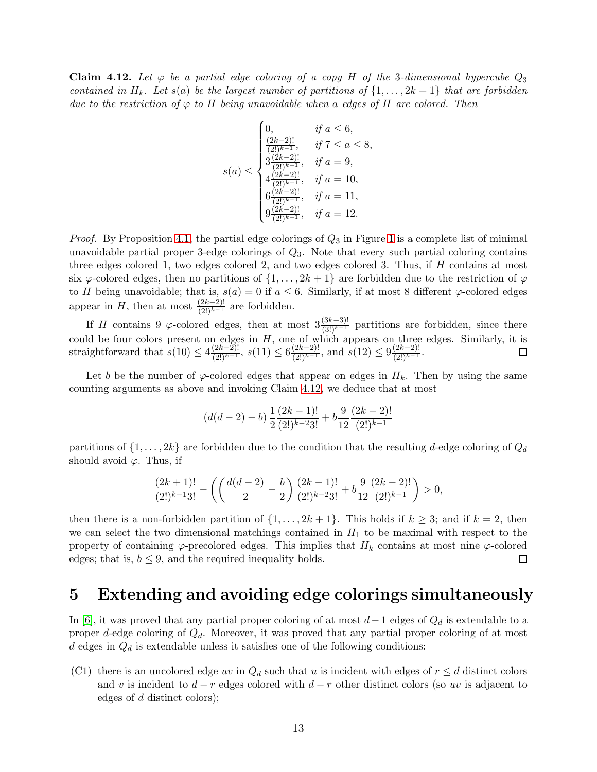<span id="page-12-0"></span>**Claim 4.12.** Let  $\varphi$  be a partial edge coloring of a copy H of the 3-dimensional hypercube  $Q_3$ contained in H<sub>k</sub>. Let s(a) be the largest number of partitions of  $\{1, \ldots, 2k+1\}$  that are forbidden due to the restriction of  $\varphi$  to H being unavoidable when a edges of H are colored. Then

$$
s(a) \leq \begin{cases} 0, & \text{if } a \leq 6, \\ \frac{(2k-2)!}{(2!)^{k-1}}, & \text{if } 7 \leq a \leq 8, \\ 3\frac{(2k-2)!}{(2!)^{k-1}}, & \text{if } a = 9, \\ 4\frac{(2k-2)!}{(2!)^{k-1}}, & \text{if } a = 10, \\ 6\frac{(2k-2)!}{(2!)^{k-1}}, & \text{if } a = 11, \\ 9\frac{(2k-2)!}{(2!)^{k-1}}, & \text{if } a = 12. \end{cases}
$$

*Proof.* By Proposition [4.1,](#page-9-1) the partial edge colorings of  $Q_3$  in Figure [1](#page-9-0) is a complete list of minimal unavoidable partial proper 3-edge colorings of  $Q_3$ . Note that every such partial coloring contains three edges colored 1, two edges colored 2, and two edges colored 3. Thus, if  $H$  contains at most six  $\varphi$ -colored edges, then no partitions of  $\{1, \ldots, 2k+1\}$  are forbidden due to the restriction of  $\varphi$ to H being unavoidable; that is,  $s(a) = 0$  if  $a \leq 6$ . Similarly, if at most 8 different  $\varphi$ -colored edges appear in H, then at most  $\frac{(2k-2)!}{(2!)^{k-1}}$  are forbidden.

If H contains 9  $\varphi$ -colored edges, then at most  $3\frac{(3k-3)!}{(3!)^{k-1}}$  partitions are forbidden, since there could be four colors present on edges in  $H$ , one of which appears on three edges. Similarly, it is straightforward that  $s(10) \leq 4 \frac{(2k-2)!}{(2!) (k-1)!}$  $\frac{(2k-2)!}{(2!)^{k-1}}, s(11) \leq 6 \frac{(2k-2)!}{(2!)^{k-1}}$  $\frac{(2k-2)!}{(2!)^{k-1}},$  and  $s(12) \leq 9 \frac{(2k-2)!}{(2!)^{k-1}}$  $\frac{(2k-2)!}{(2!)^{k-1}}$ 

Let b be the number of  $\varphi$ -colored edges that appear on edges in  $H_k$ . Then by using the same counting arguments as above and invoking Claim [4.12,](#page-12-0) we deduce that at most

$$
(d(d-2)-b)\frac{1}{2}\frac{(2k-1)!}{(2!)^{k-2}3!}+b\frac{9}{12}\frac{(2k-2)!}{(2!)^{k-1}}
$$

partitions of  $\{1, \ldots, 2k\}$  are forbidden due to the condition that the resulting d-edge coloring of  $Q_d$ should avoid  $\varphi$ . Thus, if

$$
\frac{(2k+1)!}{(2!)^{k-1}3!} - \left( \left( \frac{d(d-2)}{2} - \frac{b}{2} \right) \frac{(2k-1)!}{(2!)^{k-2}3!} + b \frac{9}{12} \frac{(2k-2)!}{(2!)^{k-1}} \right) > 0,
$$

then there is a non-forbidden partition of  $\{1, \ldots, 2k+1\}$ . This holds if  $k \geq 3$ ; and if  $k = 2$ , then we can select the two dimensional matchings contained in  $H_1$  to be maximal with respect to the property of containing  $\varphi$ -precolored edges. This implies that  $H_k$  contains at most nine  $\varphi$ -colored edges; that is,  $b \leq 9$ , and the required inequality holds.  $\Box$ 

#### 5 Extending and avoiding edge colorings simultaneously

In [\[6\]](#page-15-11), it was proved that any partial proper coloring of at most  $d-1$  edges of  $Q_d$  is extendable to a proper d-edge coloring of  $Q_d$ . Moreover, it was proved that any partial proper coloring of at most d edges in  $Q_d$  is extendable unless it satisfies one of the following conditions:

(C1) there is an uncolored edge uv in  $Q_d$  such that u is incident with edges of  $r \leq d$  distinct colors and v is incident to  $d - r$  edges colored with  $d - r$  other distinct colors (so uv is adjacent to edges of d distinct colors);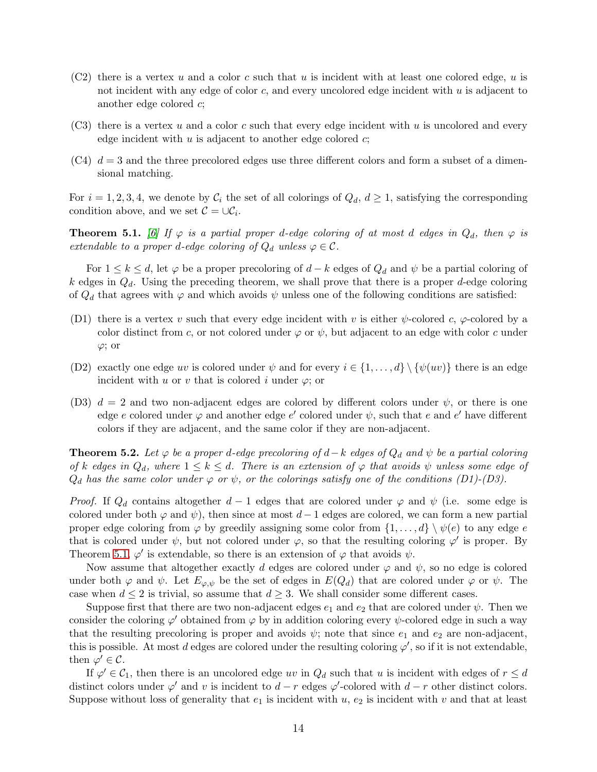- $(C2)$  there is a vertex u and a color c such that u is incident with at least one colored edge, u is not incident with any edge of color  $c$ , and every uncolored edge incident with u is adjacent to another edge colored c;
- $(C3)$  there is a vertex u and a color c such that every edge incident with u is uncolored and every edge incident with  $u$  is adjacent to another edge colored  $c$ ;
- $(C4)$   $d = 3$  and the three precolored edges use three different colors and form a subset of a dimensional matching.

For  $i = 1, 2, 3, 4$ , we denote by  $\mathcal{C}_i$  the set of all colorings of  $Q_d$ ,  $d \geq 1$ , satisfying the corresponding condition above, and we set  $\mathcal{C} = \cup \mathcal{C}_i$ .

<span id="page-13-0"></span>**Theorem 5.1.** [\[6\]](#page-15-11) If  $\varphi$  is a partial proper d-edge coloring of at most d edges in  $Q_d$ , then  $\varphi$  is extendable to a proper d-edge coloring of  $Q_d$  unless  $\varphi \in \mathcal{C}$ .

For  $1 \leq k \leq d$ , let  $\varphi$  be a proper precoloring of  $d-k$  edges of  $Q_d$  and  $\psi$  be a partial coloring of k edges in  $Q_d$ . Using the preceding theorem, we shall prove that there is a proper d-edge coloring of  $Q_d$  that agrees with  $\varphi$  and which avoids  $\psi$  unless one of the following conditions are satisfied:

- (D1) there is a vertex v such that every edge incident with v is either  $\psi$ -colored c,  $\varphi$ -colored by a color distinct from c, or not colored under  $\varphi$  or  $\psi$ , but adjacent to an edge with color c under  $\varphi$ ; or
- (D2) exactly one edge uv is colored under  $\psi$  and for every  $i \in \{1, \ldots, d\} \setminus \{\psi(uv)\}\$  there is an edge incident with u or v that is colored i under  $\varphi$ ; or
- (D3)  $d = 2$  and two non-adjacent edges are colored by different colors under  $\psi$ , or there is one edge e colored under  $\varphi$  and another edge e' colored under  $\psi$ , such that e and e' have different colors if they are adjacent, and the same color if they are non-adjacent.

**Theorem 5.2.** Let  $\varphi$  be a proper d-edge precoloring of  $d-k$  edges of  $Q_d$  and  $\psi$  be a partial coloring of k edges in  $Q_d$ , where  $1 \leq k \leq d$ . There is an extension of  $\varphi$  that avoids  $\psi$  unless some edge of  $Q_d$  has the same color under  $\varphi$  or  $\psi$ , or the colorings satisfy one of the conditions (D1)-(D3).

*Proof.* If  $Q_d$  contains altogether  $d-1$  edges that are colored under  $\varphi$  and  $\psi$  (i.e. some edge is colored under both  $\varphi$  and  $\psi$ ), then since at most d – 1 edges are colored, we can form a new partial proper edge coloring from  $\varphi$  by greedily assigning some color from  $\{1,\ldots,d\} \setminus \psi(e)$  to any edge e that is colored under  $\psi$ , but not colored under  $\varphi$ , so that the resulting coloring  $\varphi'$  is proper. By Theorem [5.1,](#page-13-0)  $\varphi'$  is extendable, so there is an extension of  $\varphi$  that avoids  $\psi$ .

Now assume that altogether exactly d edges are colored under  $\varphi$  and  $\psi$ , so no edge is colored under both  $\varphi$  and  $\psi$ . Let  $E_{\varphi,\psi}$  be the set of edges in  $E(Q_d)$  that are colored under  $\varphi$  or  $\psi$ . The case when  $d \leq 2$  is trivial, so assume that  $d \geq 3$ . We shall consider some different cases.

Suppose first that there are two non-adjacent edges  $e_1$  and  $e_2$  that are colored under  $\psi$ . Then we consider the coloring  $\varphi'$  obtained from  $\varphi$  by in addition coloring every  $\psi$ -colored edge in such a way that the resulting precoloring is proper and avoids  $\psi$ ; note that since  $e_1$  and  $e_2$  are non-adjacent, this is possible. At most d edges are colored under the resulting coloring  $\varphi'$ , so if it is not extendable, then  $\overline{\varphi'} \in \mathcal{C}$ .

If  $\varphi' \in C_1$ , then there is an uncolored edge uv in  $Q_d$  such that u is incident with edges of  $r \leq d$ distinct colors under  $\varphi'$  and v is incident to  $d-r$  edges  $\varphi'$ -colored with  $d-r$  other distinct colors. Suppose without loss of generality that  $e_1$  is incident with  $u$ ,  $e_2$  is incident with  $v$  and that at least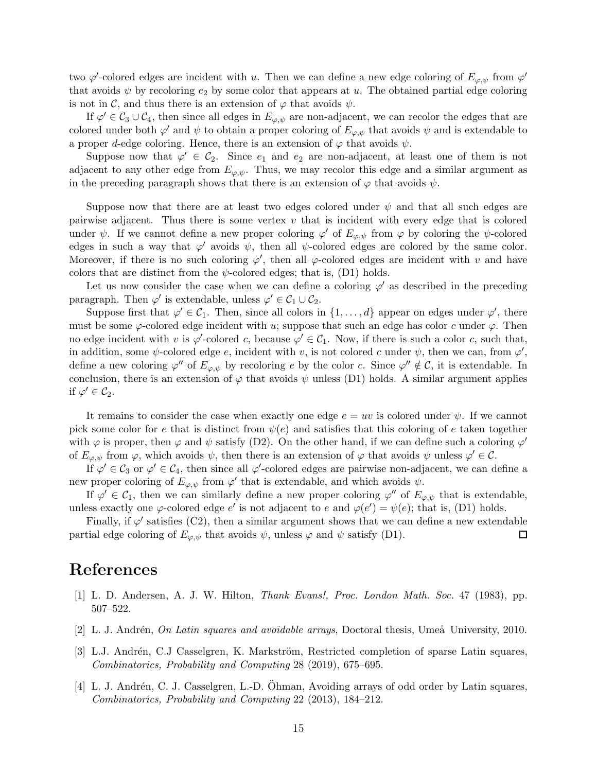two  $\varphi'$ -colored edges are incident with u. Then we can define a new edge coloring of  $E_{\varphi,\psi}$  from  $\varphi'$ that avoids  $\psi$  by recoloring  $e_2$  by some color that appears at u. The obtained partial edge coloring is not in C, and thus there is an extension of  $\varphi$  that avoids  $\psi$ .

If  $\varphi' \in C_3 \cup C_4$ , then since all edges in  $E_{\varphi,\psi}$  are non-adjacent, we can recolor the edges that are colored under both  $\varphi'$  and  $\psi$  to obtain a proper coloring of  $E_{\varphi,\psi}$  that avoids  $\psi$  and is extendable to a proper d-edge coloring. Hence, there is an extension of  $\varphi$  that avoids  $\psi$ .

Suppose now that  $\varphi' \in C_2$ . Since  $e_1$  and  $e_2$  are non-adjacent, at least one of them is not adjacent to any other edge from  $E_{\varphi,\psi}$ . Thus, we may recolor this edge and a similar argument as in the preceding paragraph shows that there is an extension of  $\varphi$  that avoids  $\psi$ .

Suppose now that there are at least two edges colored under  $\psi$  and that all such edges are pairwise adjacent. Thus there is some vertex  $v$  that is incident with every edge that is colored under  $\psi$ . If we cannot define a new proper coloring  $\varphi'$  of  $E_{\varphi,\psi}$  from  $\varphi$  by coloring the  $\psi$ -colored edges in such a way that  $\varphi'$  avoids  $\psi$ , then all  $\psi$ -colored edges are colored by the same color. Moreover, if there is no such coloring  $\varphi'$ , then all  $\varphi$ -colored edges are incident with v and have colors that are distinct from the  $\psi$ -colored edges; that is, (D1) holds.

Let us now consider the case when we can define a coloring  $\varphi'$  as described in the preceding paragraph. Then  $\varphi'$  is extendable, unless  $\varphi' \in C_1 \cup C_2$ .

Suppose first that  $\varphi' \in C_1$ . Then, since all colors in  $\{1, \ldots, d\}$  appear on edges under  $\varphi'$ , there must be some  $\varphi$ -colored edge incident with u; suppose that such an edge has color c under  $\varphi$ . Then no edge incident with v is  $\varphi'$ -colored c, because  $\varphi' \in C_1$ . Now, if there is such a color c, such that, in addition, some  $\psi$ -colored edge e, incident with v, is not colored c under  $\psi$ , then we can, from  $\varphi'$ , define a new coloring  $\varphi''$  of  $E_{\varphi,\psi}$  by recoloring e by the color c. Since  $\varphi'' \notin \mathcal{C}$ , it is extendable. In conclusion, there is an extension of  $\varphi$  that avoids  $\psi$  unless (D1) holds. A similar argument applies if  $\varphi' \in C_2$ .

It remains to consider the case when exactly one edge  $e = uv$  is colored under  $\psi$ . If we cannot pick some color for e that is distinct from  $\psi(e)$  and satisfies that this coloring of e taken together with  $\varphi$  is proper, then  $\varphi$  and  $\psi$  satisfy (D2). On the other hand, if we can define such a coloring  $\varphi'$ of  $E_{\varphi,\psi}$  from  $\varphi$ , which avoids  $\psi$ , then there is an extension of  $\varphi$  that avoids  $\psi$  unless  $\varphi' \in \mathcal{C}$ .

If  $\varphi' \in C_3$  or  $\varphi' \in C_4$ , then since all  $\varphi'$ -colored edges are pairwise non-adjacent, we can define a new proper coloring of  $E_{\varphi,\psi}$  from  $\varphi'$  that is extendable, and which avoids  $\psi$ .

If  $\varphi' \in C_1$ , then we can similarly define a new proper coloring  $\varphi''$  of  $E_{\varphi,\psi}$  that is extendable, unless exactly one  $\varphi$ -colored edge e' is not adjacent to e and  $\varphi(e') = \psi(e)$ ; that is, (D1) holds.

Finally, if  $\varphi'$  satisfies (C2), then a similar argument shows that we can define a new extendable partial edge coloring of  $E_{\varphi,\psi}$  that avoids  $\psi$ , unless  $\varphi$  and  $\psi$  satisfy (D1).  $\Box$ 

#### <span id="page-14-0"></span>References

- <span id="page-14-1"></span>[1] L. D. Andersen, A. J. W. Hilton, Thank Evans!, Proc. London Math. Soc. 47 (1983), pp. 507–522.
- <span id="page-14-3"></span>[2] L. J. Andrén, *On Latin squares and avoidable arrays*, Doctoral thesis, Umeå University, 2010.
- [3] L.J. Andrén, C.J Casselgren, K. Markström, Restricted completion of sparse Latin squares, Combinatorics, Probability and Computing 28 (2019), 675–695.
- <span id="page-14-2"></span>[4] L. J. Andrén, C. J. Casselgren, L.-D. Ohman, Avoiding arrays of odd order by Latin squares, Combinatorics, Probability and Computing 22 (2013), 184–212.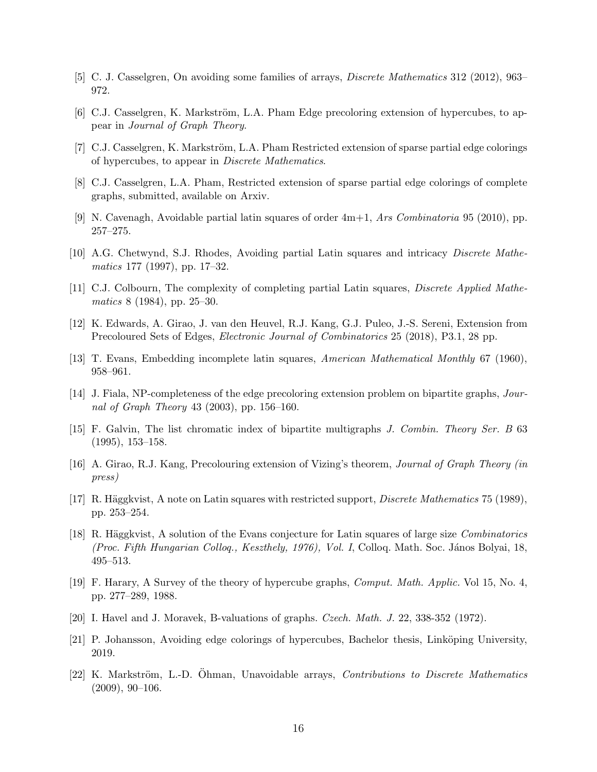- <span id="page-15-11"></span><span id="page-15-7"></span>[5] C. J. Casselgren, On avoiding some families of arrays, Discrete Mathematics 312 (2012), 963– 972.
- <span id="page-15-12"></span>[6] C.J. Casselgren, K. Markström, L.A. Pham Edge precoloring extension of hypercubes, to appear in Journal of Graph Theory.
- <span id="page-15-10"></span>[7] C.J. Casselgren, K. Markström, L.A. Pham Restricted extension of sparse partial edge colorings of hypercubes, to appear in Discrete Mathematics.
- <span id="page-15-8"></span>[8] C.J. Casselgren, L.A. Pham, Restricted extension of sparse partial edge colorings of complete graphs, submitted, available on Arxiv.
- <span id="page-15-9"></span>[9] N. Cavenagh, Avoidable partial latin squares of order 4m+1, Ars Combinatoria 95 (2010), pp. 257–275.
- <span id="page-15-0"></span>[10] A.G. Chetwynd, S.J. Rhodes, Avoiding partial Latin squares and intricacy Discrete Mathematics 177 (1997), pp. 17–32.
- <span id="page-15-2"></span>[11] C.J. Colbourn, The complexity of completing partial Latin squares, Discrete Applied Mathematics 8 (1984), pp. 25–30.
- <span id="page-15-4"></span>[12] K. Edwards, A. Girao, J. van den Heuvel, R.J. Kang, G.J. Puleo, J.-S. Sereni, Extension from Precoloured Sets of Edges, Electronic Journal of Combinatorics 25 (2018), P3.1, 28 pp.
- <span id="page-15-1"></span>[13] T. Evans, Embedding incomplete latin squares, American Mathematical Monthly 67 (1960), 958–961.
- <span id="page-15-15"></span>[14] J. Fiala, NP-completeness of the edge precoloring extension problem on bipartite graphs, Journal of Graph Theory 43 (2003), pp. 156–160.
- [15] F. Galvin, The list chromatic index of bipartite multigraphs J. Combin. Theory Ser. B 63 (1995), 153–158.
- <span id="page-15-6"></span><span id="page-15-3"></span>[16] A. Girao, R.J. Kang, Precolouring extension of Vizing's theorem, Journal of Graph Theory (in press)
- <span id="page-15-5"></span>[17] R. Häggkvist, A note on Latin squares with restricted support, *Discrete Mathematics* 75 (1989), pp. 253–254.
- [18] R. Häggkvist, A solution of the Evans conjecture for Latin squares of large size *Combinatorics* (Proc. Fifth Hungarian Collog., Keszthely, 1976), Vol. I, Colloq. Math. Soc. János Bolyai, 18, 495–513.
- <span id="page-15-14"></span><span id="page-15-13"></span>[19] F. Harary, A Survey of the theory of hypercube graphs, Comput. Math. Applic. Vol 15, No. 4, pp. 277–289, 1988.
- <span id="page-15-17"></span>[20] I. Havel and J. Moravek, B-valuations of graphs. Czech. Math. J. 22, 338-352 (1972).
- <span id="page-15-16"></span>[21] P. Johansson, Avoiding edge colorings of hypercubes, Bachelor thesis, Linköping University, 2019.
- [22] K. Markström, L.-D. Ohman, Unavoidable arrays, *Contributions to Discrete Mathematics*  $(2009), 90-106.$